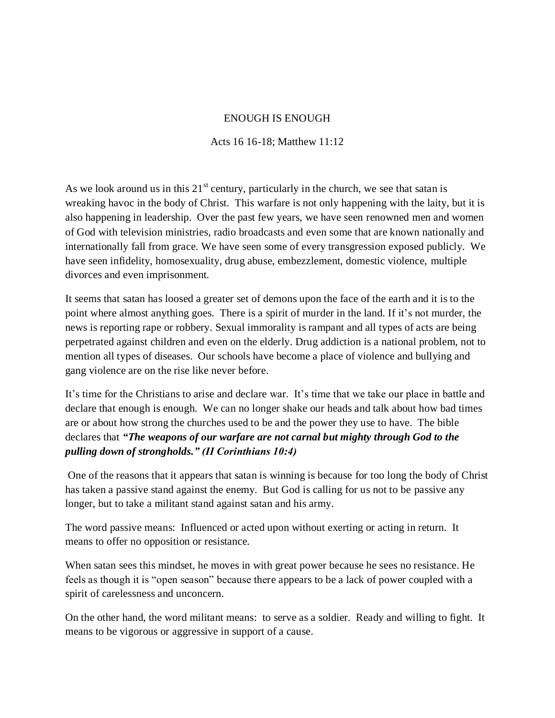## ENOUGH IS ENOUGH

## Acts 16 16-18; Matthew 11:12

As we look around us in this  $21<sup>st</sup>$  century, particularly in the church, we see that satan is wreaking havoc in the body of Christ. This warfare is not only happening with the laity, but it is also happening in leadership. Over the past few years, we have seen renowned men and women of God with television ministries, radio broadcasts and even some that are known nationally and internationally fall from grace. We have seen some of every transgression exposed publicly. We have seen infidelity, homosexuality, drug abuse, embezzlement, domestic violence, multiple divorces and even imprisonment.

It seems that satan has loosed a greater set of demons upon the face of the earth and it is to the point where almost anything goes. There is a spirit of murder in the land. If it's not murder, the news is reporting rape or robbery. Sexual immorality is rampant and all types of acts are being perpetrated against children and even on the elderly. Drug addiction is a national problem, not to mention all types of diseases. Our schools have become a place of violence and bullying and gang violence are on the rise like never before.

It's time for the Christians to arise and declare war. It's time that we take our place in battle and declare that enough is enough. We can no longer shake our heads and talk about how bad times are or about how strong the churches used to be and the power they use to have. The bible declares that *"The weapons of our warfare are not carnal but mighty through God to the pulling down of strongholds." (II Corinthians 10:4)* 

One of the reasons that it appears that satan is winning is because for too long the body of Christ has taken a passive stand against the enemy. But God is calling for us not to be passive any longer, but to take a militant stand against satan and his army.

The word passive means: Influenced or acted upon without exerting or acting in return. It means to offer no opposition or resistance.

When satan sees this mindset, he moves in with great power because he sees no resistance. He feels as though it is "open season" because there appears to be a lack of power coupled with a spirit of carelessness and unconcern.

On the other hand, the word militant means: to serve as a soldier. Ready and willing to fight. It means to be vigorous or aggressive in support of a cause.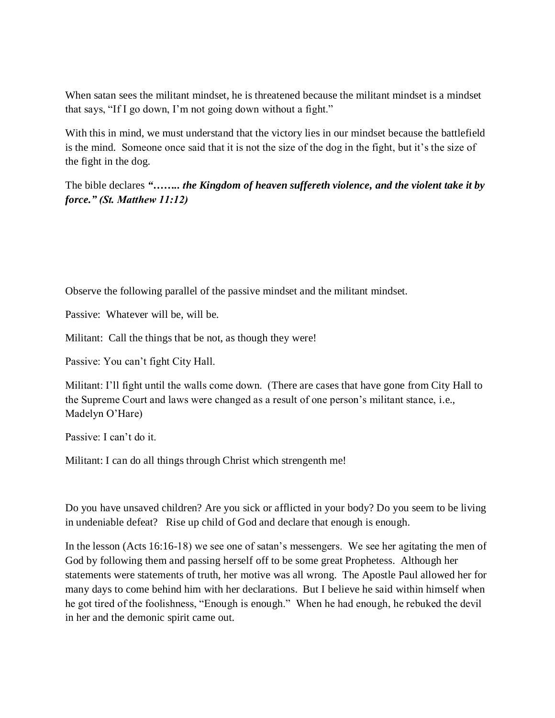When satan sees the militant mindset, he is threatened because the militant mindset is a mindset that says, "If I go down, I'm not going down without a fight."

With this in mind, we must understand that the victory lies in our mindset because the battlefield is the mind. Someone once said that it is not the size of the dog in the fight, but it's the size of the fight in the dog.

The bible declares *"…….. the Kingdom of heaven suffereth violence, and the violent take it by force." (St. Matthew 11:12)*

Observe the following parallel of the passive mindset and the militant mindset.

Passive: Whatever will be, will be.

Militant: Call the things that be not, as though they were!

Passive: You can't fight City Hall.

Militant: I'll fight until the walls come down. (There are cases that have gone from City Hall to the Supreme Court and laws were changed as a result of one person's militant stance, i.e., Madelyn O'Hare)

Passive: I can't do it.

Militant: I can do all things through Christ which strengenth me!

Do you have unsaved children? Are you sick or afflicted in your body? Do you seem to be living in undeniable defeat? Rise up child of God and declare that enough is enough.

In the lesson (Acts 16:16-18) we see one of satan's messengers. We see her agitating the men of God by following them and passing herself off to be some great Prophetess. Although her statements were statements of truth, her motive was all wrong. The Apostle Paul allowed her for many days to come behind him with her declarations. But I believe he said within himself when he got tired of the foolishness, "Enough is enough." When he had enough, he rebuked the devil in her and the demonic spirit came out.